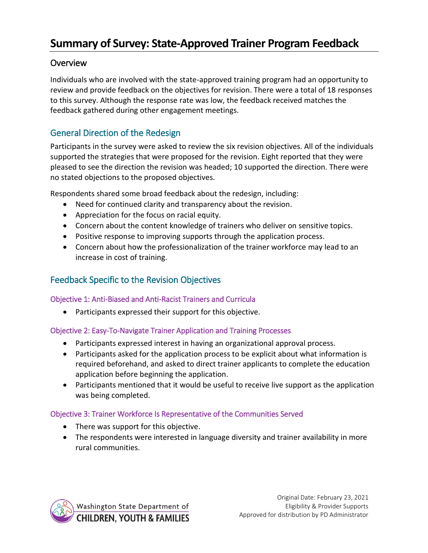# **Summary of Survey: State-Approved Trainer Program Feedback**

## **Overview**

Individuals who are involved with the state-approved training program had an opportunity to review and provide feedback on the objectives for revision. There were a total of 18 responses to this survey. Although the response rate was low, the feedback received matches the feedback gathered during other engagement meetings.

## General Direction of the Redesign

Participants in the survey were asked to review the six revision objectives. All of the individuals supported the strategies that were proposed for the revision. Eight reported that they were pleased to see the direction the revision was headed; 10 supported the direction. There were no stated objections to the proposed objectives.

Respondents shared some broad feedback about the redesign, including:

- Need for continued clarity and transparency about the revision.
- Appreciation for the focus on racial equity.
- Concern about the content knowledge of trainers who deliver on sensitive topics.
- Positive response to improving supports through the application process.
- Concern about how the professionalization of the trainer workforce may lead to an increase in cost of training.

# Feedback Specific to the Revision Objectives

#### Objective 1: Anti-Biased and Anti-Racist Trainers and Curricula

Participants expressed their support for this objective.

## Objective 2: Easy-To-Navigate Trainer Application and Training Processes

- Participants expressed interest in having an organizational approval process.
- Participants asked for the application process to be explicit about what information is required beforehand, and asked to direct trainer applicants to complete the education application before beginning the application.
- Participants mentioned that it would be useful to receive live support as the application was being completed.

#### Objective 3: Trainer Workforce Is Representative of the Communities Served

- There was support for this objective.
- The respondents were interested in language diversity and trainer availability in more rural communities.